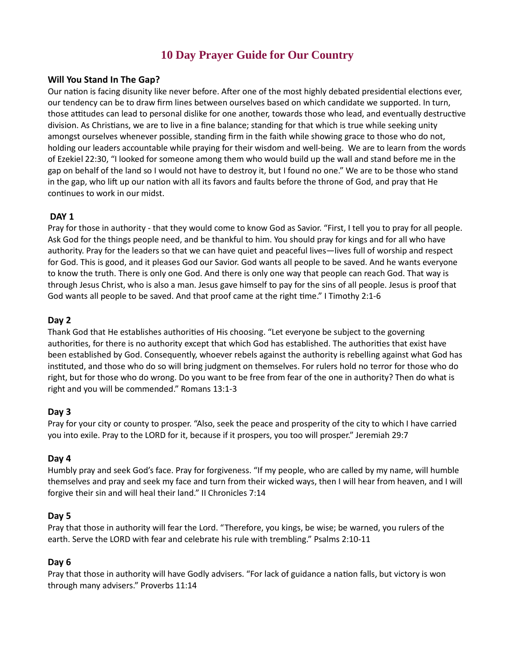# 10 Day Prayer Guide for Our Country

#### Will You Stand In The Gap?

Our nation is facing disunity like never before. After one of the most highly debated presidential elections ever, our tendency can be to draw firm lines between ourselves based on which candidate we supported. In turn, those attitudes can lead to personal dislike for one another, towards those who lead, and eventually destructive division. As Christians, we are to live in a fine balance; standing for that which is true while seeking unity amongst ourselves whenever possible, standing firm in the faith while showing grace to those who do not, holding our leaders accountable while praying for their wisdom and well-being. We are to learn from the words of Ezekiel 22:30, "I looked for someone among them who would build up the wall and stand before me in the gap on behalf of the land so I would not have to destroy it, but I found no one." We are to be those who stand in the gap, who lift up our nation with all its favors and faults before the throne of God, and pray that He continues to work in our midst.

#### DAY<sub>1</sub>

Pray for those in authority - that they would come to know God as Savior. "First, I tell you to pray for all people. Ask God for the things people need, and be thankful to him. You should pray for kings and for all who have authority. Pray for the leaders so that we can have quiet and peaceful lives—lives full of worship and respect for God. This is good, and it pleases God our Savior. God wants all people to be saved. And he wants everyone to know the truth. There is only one God. And there is only one way that people can reach God. That way is through Jesus Christ, who is also a man. Jesus gave himself to pay for the sins of all people. Jesus is proof that God wants all people to be saved. And that proof came at the right time." I Timothy 2:1-6

#### Day 2

Thank God that He establishes authorities of His choosing. "Let everyone be subject to the governing authorities, for there is no authority except that which God has established. The authorities that exist have been established by God. Consequently, whoever rebels against the authority is rebelling against what God has instituted, and those who do so will bring judgment on themselves. For rulers hold no terror for those who do right, but for those who do wrong. Do you want to be free from fear of the one in authority? Then do what is right and you will be commended." Romans 13:1-3

#### Day 3

Pray for your city or county to prosper. "Also, seek the peace and prosperity of the city to which I have carried you into exile. Pray to the LORD for it, because if it prospers, you too will prosper." Jeremiah 29:7

#### Day 4

Humbly pray and seek God's face. Pray for forgiveness. "If my people, who are called by my name, will humble themselves and pray and seek my face and turn from their wicked ways, then I will hear from heaven, and I will forgive their sin and will heal their land." II Chronicles 7:14

#### Day 5

Pray that those in authority will fear the Lord. "Therefore, you kings, be wise; be warned, you rulers of the earth. Serve the LORD with fear and celebrate his rule with trembling." Psalms 2:10-11

#### Day 6

Pray that those in authority will have Godly advisers. "For lack of guidance a nation falls, but victory is won through many advisers." Proverbs 11:14